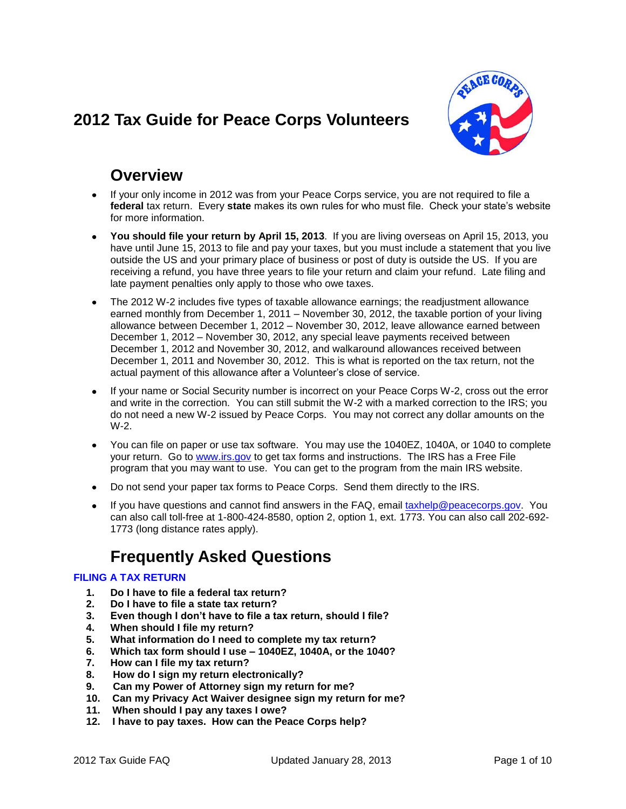# <span id="page-0-0"></span>**2012 Tax Guide for Peace Corps Volunteers**



# **Overview**

- If your only income in 2012 was from your Peace Corps service, you are not required to file a **federal** tax return. Every **state** makes its own rules for who must file. Check your state's website for more information.
- **You should file your return by April 15, 2013**. If you are living overseas on April 15, 2013, you have until June 15, 2013 to file and pay your taxes, but you must include a statement that you live outside the US and your primary place of business or post of duty is outside the US. If you are receiving a refund, you have three years to file your return and claim your refund. Late filing and late payment penalties only apply to those who owe taxes.
- The 2012 W-2 includes five types of taxable allowance earnings; the readjustment allowance earned monthly from December 1, 2011 – November 30, 2012, the taxable portion of your living allowance between December 1, 2012 – November 30, 2012, leave allowance earned between December 1, 2012 – November 30, 2012, any special leave payments received between December 1, 2012 and November 30, 2012, and walkaround allowances received between December 1, 2011 and November 30, 2012. This is what is reported on the tax return, not the actual payment of this allowance after a Volunteer's close of service.
- If your name or Social Security number is incorrect on your Peace Corps W-2, cross out the error and write in the correction. You can still submit the W-2 with a marked correction to the IRS; you do not need a new W-2 issued by Peace Corps. You may not correct any dollar amounts on the W-2.
- You can file on paper or use tax software. You may use the 1040EZ, 1040A, or 1040 to complete your return. Go to [www.irs.gov](http://www.irs.gov/) to get tax forms and instructions. The IRS has a Free File program that you may want to use. You can get to the program from the main IRS website.
- Do not send your paper tax forms to Peace Corps. Send them directly to the IRS.
- If you have questions and cannot find answers in the FAQ, email [taxhelp@peacecorps.gov.](mailto:taxhelp@peacecorps.gov) You can also call toll-free at 1-800-424-8580, option 2, option 1, ext. 1773. You can also call 202-692- 1773 (long distance rates apply).

# **Frequently Asked Questions**

# **[FILING A TAX RETURN](#page-1-0)**

- **1. [Do I have to file a federal tax return?](#page-1-1)**
- **2. [Do I have to file a state tax return?](#page-2-0)**
- **3. [Even though I don't have to file a tax return, should I file?](#page-2-1)**
- **4. [When should I file my return?](#page-2-2)**
- **5. [What information do I need to complete my tax return?](#page-2-3)**
- **6. [Which tax form should I use –](#page-2-4) 1040EZ, 1040A, or the 1040?**
- **7. [How can I file my tax return?](#page-3-0)**
- **8. [How do I sign my return electronically?](#page-3-1)**
- **9. [Can my Power of Attorney sign my return for me?](#page-3-2)**
- **10. [Can my Privacy Act Waiver designee sign my return for me?](#page-4-0)**
- **11. [When should I pay any taxes I owe?](#page-4-1)**
- **12. [I have to pay taxes. How can the Peace Corps help?](#page-4-2)**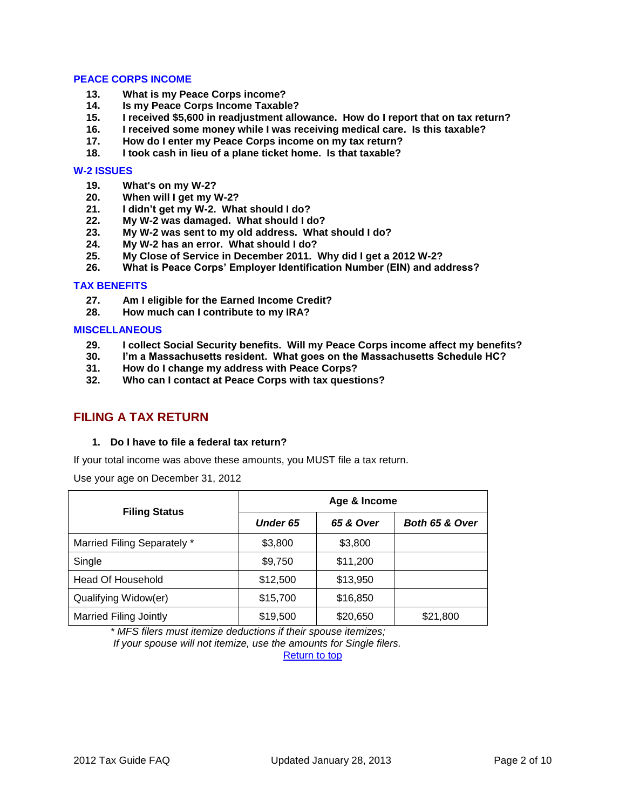## **[PEACE CORPS INCOME](#page-4-3)**

- **13. [What is my Peace Corps income?](#page-4-4)**
- **14. [Is my Peace Corps Income Taxable?](#page-5-0)**
- **15. I received [\\$5,600 in readjustment allowance. How do I report that on tax return?](#page-5-1)**
- **16. [I received some money while I was receiving medical care. Is this taxable?](#page-5-2)**
- **17. [How do I enter my Peace Corps income on my tax return?](#page-6-0)**
- **18. [I took cash in lieu of a plane ticket home. Is that taxable?](#page-6-1)**

# **[W-2 ISSUES](#page-6-2)**

- **19. [What's on my W-2?](#page-6-3)**
- **20. [When will I get my W-2?](#page-6-4)**
- **21. [I didn't get my W-2. What should I do?](#page-6-5)**
- **22. [My W-2 was damaged. What should I do?](#page-7-0)**
- **23. [My W-2 was sent to my old address. What should I do?](#page-7-1)**
- **24. [My W-2 has an error. What should I do?](#page-7-2)**
- **25. [My Close of Service in December 2011. Why did I get a 2012](#page-7-3) W-2?**
- **26. [What is Peace Corps' Employer Identification Number \(EIN\) and address?](#page-7-4)**

#### **[TAX BENEFITS](#page-8-0)**

- **27. [Am I eligible for the Earned Income Credit?](#page-8-1)**
- **28. [How much can I contribute to my IRA?](#page-8-2)**

#### **[MISCELLANEOUS](#page-8-3)**

- **29. [I collect Social Security benefits. Will my Peace Corps income affect my benefits?](#page-8-4)**
- **30. [I'm a Massachusetts resident. What goes on the Massachusetts Schedule HC?](#page-9-0)**
- **31. [How do I change my address with Peace Corps?](#page-9-1)**
- **32. [Who can I contact at Peace](#page-9-2) Corps with tax questions?**

# <span id="page-1-1"></span><span id="page-1-0"></span>**FILING A TAX RETURN**

#### **1. Do I have to file a federal tax return?**

If your total income was above these amounts, you MUST file a tax return.

Use your age on December 31, 2012

| <b>Filing Status</b>          | Age & Income    |           |                |  |  |
|-------------------------------|-----------------|-----------|----------------|--|--|
|                               | <b>Under 65</b> | 65 & Over | Both 65 & Over |  |  |
| Married Filing Separately *   | \$3,800         | \$3,800   |                |  |  |
| Single                        | \$9,750         | \$11,200  |                |  |  |
| Head Of Household             | \$12,500        | \$13,950  |                |  |  |
| Qualifying Widow(er)          | \$15,700        | \$16,850  |                |  |  |
| <b>Married Filing Jointly</b> | \$19,500        | \$20,650  | \$21,800       |  |  |

*\* MFS filers must itemize deductions if their spouse itemizes; If your spouse will not itemize, use the amounts for Single filers.*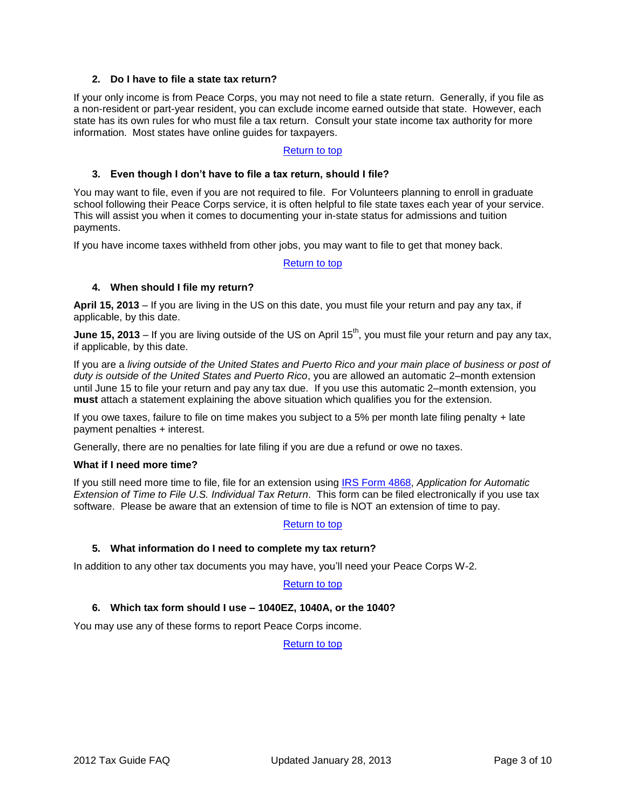# **2. Do I have to file a state tax return?**

<span id="page-2-0"></span>If your only income is from Peace Corps, you may not need to file a state return. Generally, if you file as a non-resident or part-year resident, you can exclude income earned outside that state. However, each state has its own rules for who must file a tax return. Consult your state income tax authority for more information. Most states have online guides for taxpayers.

## [Return to top](#page-0-0)

## <span id="page-2-1"></span>**3. Even though I don't have to file a tax return, should I file?**

You may want to file, even if you are not required to file. For Volunteers planning to enroll in graduate school following their Peace Corps service, it is often helpful to file state taxes each year of your service. This will assist you when it comes to documenting your in-state status for admissions and tuition payments.

If you have income taxes withheld from other jobs, you may want to file to get that money back.

[Return to top](#page-0-0)

#### <span id="page-2-2"></span>**4. When should I file my return?**

**April 15, 2013** – If you are living in the US on this date, you must file your return and pay any tax, if applicable, by this date.

**June 15, 2013** – If you are living outside of the US on April 15<sup>th</sup>, you must file your return and pay any tax, if applicable, by this date.

If you are a *living outside of the United States and Puerto Rico and your main place of business or post of duty is outside of the United States and Puerto Rico*, you are allowed an automatic 2–month extension until June 15 to file your return and pay any tax due. If you use this automatic 2–month extension, you **must** attach a statement explaining the above situation which qualifies you for the extension.

If you owe taxes, failure to file on time makes you subject to a 5% per month late filing penalty + late payment penalties + interest.

Generally, there are no penalties for late filing if you are due a refund or owe no taxes.

#### **What if I need more time?**

If you still need more time to file, file for an extension using [IRS Form 4868,](http://www.irs.gov/pub/irs-pdf/f4868.pdf) *Application for Automatic Extension of Time to File U.S. Individual Tax Return*. This form can be filed electronically if you use tax software. Please be aware that an extension of time to file is NOT an extension of time to pay.

## [Return to top](#page-0-0)

## <span id="page-2-3"></span>**5. What information do I need to complete my tax return?**

In addition to any other tax documents you may have, you'll need your Peace Corps W-2.

## [Return to top](#page-0-0)

## <span id="page-2-4"></span>**6. Which tax form should I use – 1040EZ, 1040A, or the 1040?**

You may use any of these forms to report Peace Corps income.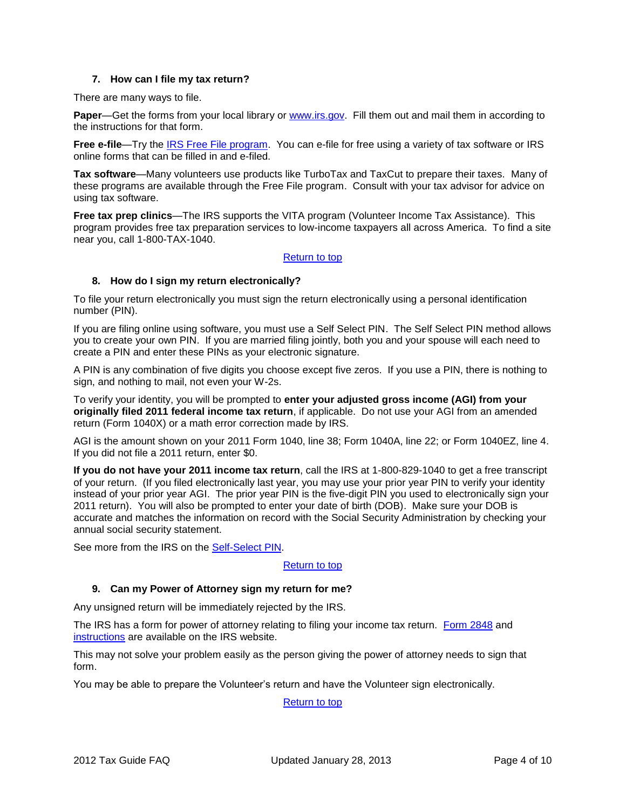## **7. How can I file my tax return?**

<span id="page-3-0"></span>There are many ways to file.

**Paper—Get the forms from your local library or [www.irs.gov.](http://www.irs.gov/) Fill them out and mail them in according to** the instructions for that form.

Free e-file—Try the [IRS Free File program.](http://www.irs.gov/efile/article/0,,id=118986,00.html?portlet=4) You can e-file for free using a variety of tax software or IRS online forms that can be filled in and e-filed.

**Tax software**—Many volunteers use products like TurboTax and TaxCut to prepare their taxes. Many of these programs are available through the Free File program. Consult with your tax advisor for advice on using tax software.

**Free tax prep clinics**—The IRS supports the VITA program (Volunteer Income Tax Assistance). This program provides free tax preparation services to low-income taxpayers all across America. To find a site near you, call 1-800-TAX-1040.

# [Return to top](#page-0-0)

# <span id="page-3-1"></span>**8. How do I sign my return electronically?**

To file your return electronically you must sign the return electronically using a personal identification number (PIN).

If you are filing online using software, you must use a Self Select PIN. The Self Select PIN method allows you to create your own PIN. If you are married filing jointly, both you and your spouse will each need to create a PIN and enter these PINs as your electronic signature.

A PIN is any combination of five digits you choose except five zeros. If you use a PIN, there is nothing to sign, and nothing to mail, not even your W-2s.

To verify your identity, you will be prompted to **enter your adjusted gross income (AGI) from your originally filed 2011 federal income tax return**, if applicable. Do not use your AGI from an amended return (Form 1040X) or a math error correction made by IRS.

AGI is the amount shown on your 2011 Form 1040, line 38; Form 1040A, line 22; or Form 1040EZ, line 4. If you did not file a 2011 return, enter \$0.

**If you do not have your 2011 income tax return**, call the IRS at 1-800-829-1040 to get a free transcript of your return. (If you filed electronically last year, you may use your prior year PIN to verify your identity instead of your prior year AGI. The prior year PIN is the five-digit PIN you used to electronically sign your 2011 return). You will also be prompted to enter your date of birth (DOB). Make sure your DOB is accurate and matches the information on record with the Social Security Administration by checking your annual social security statement.

See more from the IRS on the [Self-Select PIN.](http://www.irs.gov/efile/article/0,,id=120000,00.html)

## [Return to top](#page-0-0)

## <span id="page-3-2"></span>**9. Can my Power of Attorney sign my return for me?**

Any unsigned return will be immediately rejected by the IRS.

The IRS has a form for power of attorney relating to filing your income tax return. [Form 2848](http://www.irs.gov/pub/irs-pdf/f2848.pdf) and [instructions](http://www.irs.gov/pub/irs-pdf/i2848.pdf) are available on the IRS website.

This may not solve your problem easily as the person giving the power of attorney needs to sign that form.

You may be able to prepare the Volunteer's return and have the Volunteer sign electronically.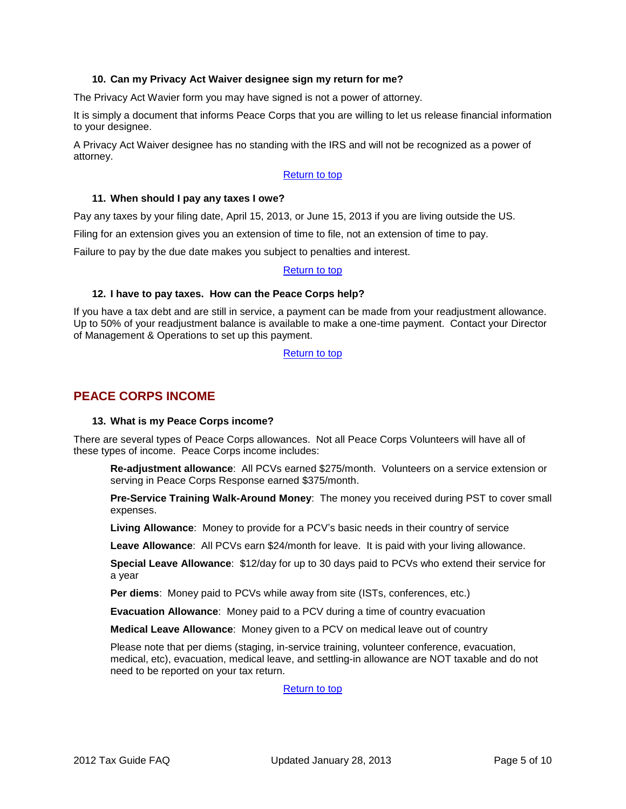### **10. Can my Privacy Act Waiver designee sign my return for me?**

<span id="page-4-0"></span>The Privacy Act Wavier form you may have signed is not a power of attorney.

It is simply a document that informs Peace Corps that you are willing to let us release financial information to your designee.

A Privacy Act Waiver designee has no standing with the IRS and will not be recognized as a power of attorney.

#### [Return to top](#page-0-0)

#### <span id="page-4-1"></span>**11. When should I pay any taxes I owe?**

Pay any taxes by your filing date, April 15, 2013, or June 15, 2013 if you are living outside the US.

Filing for an extension gives you an extension of time to file, not an extension of time to pay.

Failure to pay by the due date makes you subject to penalties and interest.

#### [Return to top](#page-0-0)

#### <span id="page-4-2"></span>**12. I have to pay taxes. How can the Peace Corps help?**

If you have a tax debt and are still in service, a payment can be made from your readjustment allowance. Up to 50% of your readjustment balance is available to make a one-time payment. Contact your Director of Management & Operations to set up this payment.

[Return to top](#page-0-0)

# <span id="page-4-4"></span><span id="page-4-3"></span>**PEACE CORPS INCOME**

#### **13. What is my Peace Corps income?**

There are several types of Peace Corps allowances. Not all Peace Corps Volunteers will have all of these types of income. Peace Corps income includes:

**Re-adjustment allowance**: All PCVs earned \$275/month. Volunteers on a service extension or serving in Peace Corps Response earned \$375/month.

**Pre-Service Training Walk-Around Money**: The money you received during PST to cover small expenses.

**Living Allowance**: Money to provide for a PCV's basic needs in their country of service

**Leave Allowance**: All PCVs earn \$24/month for leave. It is paid with your living allowance.

**Special Leave Allowance**: \$12/day for up to 30 days paid to PCVs who extend their service for a year

**Per diems**: Money paid to PCVs while away from site (ISTs, conferences, etc.)

**Evacuation Allowance**: Money paid to a PCV during a time of country evacuation

**Medical Leave Allowance**: Money given to a PCV on medical leave out of country

Please note that per diems (staging, in-service training, volunteer conference, evacuation, medical, etc), evacuation, medical leave, and settling-in allowance are NOT taxable and do not need to be reported on your tax return.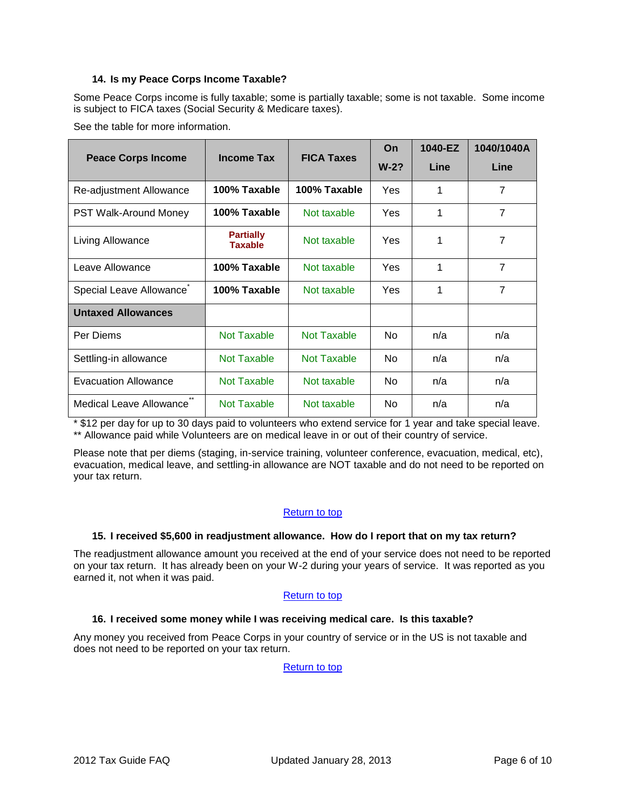# **14. Is my Peace Corps Income Taxable?**

<span id="page-5-0"></span>Some Peace Corps income is fully taxable; some is partially taxable; some is not taxable. Some income is subject to FICA taxes (Social Security & Medicare taxes).

See the table for more information.

| <b>Peace Corps Income</b>    | <b>Income Tax</b>                  | <b>FICA Taxes</b> | On         | 1040-EZ | 1040/1040A     |
|------------------------------|------------------------------------|-------------------|------------|---------|----------------|
|                              |                                    |                   | $W-2?$     | Line    | Line           |
| Re-adjustment Allowance      | 100% Taxable                       | 100% Taxable      | Yes        | 1       | $\overline{7}$ |
| <b>PST Walk-Around Money</b> | 100% Taxable                       | Not taxable       | Yes        | 1       | $\overline{7}$ |
| Living Allowance             | <b>Partially</b><br><b>Taxable</b> | Not taxable       | <b>Yes</b> | 1       | 7              |
| Leave Allowance              | 100% Taxable                       | Not taxable       | Yes        | 1       | $\overline{7}$ |
| Special Leave Allowance      | 100% Taxable                       | Not taxable       | Yes        | 1       | $\overline{7}$ |
| <b>Untaxed Allowances</b>    |                                    |                   |            |         |                |
| Per Diems                    | Not Taxable                        | Not Taxable       | <b>No</b>  | n/a     | n/a            |
| Settling-in allowance        | Not Taxable                        | Not Taxable       | No.        | n/a     | n/a            |
| Evacuation Allowance         | Not Taxable                        | Not taxable       | <b>No</b>  | n/a     | n/a            |
| Medical Leave Allowance      | Not Taxable                        | Not taxable       | No.        | n/a     | n/a            |

\* \$12 per day for up to 30 days paid to volunteers who extend service for 1 year and take special leave. \*\* Allowance paid while Volunteers are on medical leave in or out of their country of service.

Please note that per diems (staging, in-service training, volunteer conference, evacuation, medical, etc), evacuation, medical leave, and settling-in allowance are NOT taxable and do not need to be reported on your tax return.

## [Return to top](#page-0-0)

## <span id="page-5-1"></span>**15. I received \$5,600 in readjustment allowance. How do I report that on my tax return?**

The readjustment allowance amount you received at the end of your service does not need to be reported on your tax return. It has already been on your W-2 during your years of service. It was reported as you earned it, not when it was paid.

## [Return to top](#page-0-0)

## <span id="page-5-2"></span>**16. I received some money while I was receiving medical care. Is this taxable?**

Any money you received from Peace Corps in your country of service or in the US is not taxable and does not need to be reported on your tax return.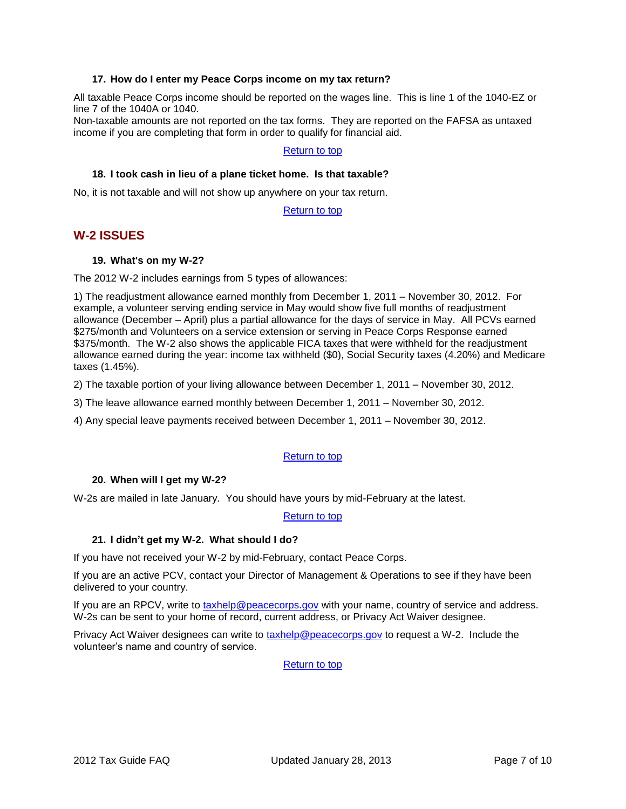## **17. How do I enter my Peace Corps income on my tax return?**

<span id="page-6-0"></span>All taxable Peace Corps income should be reported on the wages line. This is line 1 of the 1040-EZ or line 7 of the 1040A or 1040.

Non-taxable amounts are not reported on the tax forms. They are reported on the FAFSA as untaxed income if you are completing that form in order to qualify for financial aid.

# [Return to top](#page-0-0)

#### <span id="page-6-1"></span>**18. I took cash in lieu of a plane ticket home. Is that taxable?**

No, it is not taxable and will not show up anywhere on your tax return.

[Return to top](#page-0-0)

# <span id="page-6-3"></span><span id="page-6-2"></span>**W-2 ISSUES**

## **19. What's on my W-2?**

The 2012 W-2 includes earnings from 5 types of allowances:

1) The readjustment allowance earned monthly from December 1, 2011 – November 30, 2012. For example, a volunteer serving ending service in May would show five full months of readjustment allowance (December – April) plus a partial allowance for the days of service in May. All PCVs earned \$275/month and Volunteers on a service extension or serving in Peace Corps Response earned \$375/month. The W-2 also shows the applicable FICA taxes that were withheld for the readjustment allowance earned during the year: income tax withheld (\$0), Social Security taxes (4.20%) and Medicare taxes (1.45%).

2) The taxable portion of your living allowance between December 1, 2011 – November 30, 2012.

3) The leave allowance earned monthly between December 1, 2011 – November 30, 2012.

4) Any special leave payments received between December 1, 2011 – November 30, 2012.

## [Return to top](#page-0-0)

## <span id="page-6-4"></span>**20. When will I get my W-2?**

W-2s are mailed in late January. You should have yours by mid-February at the latest.

[Return to top](#page-0-0)

## <span id="page-6-5"></span>**21. I didn't get my W-2. What should I do?**

If you have not received your W-2 by mid-February, contact Peace Corps.

If you are an active PCV, contact your Director of Management & Operations to see if they have been delivered to your country.

If you are an RPCV, write to [taxhelp@peacecorps.gov](mailto:taxhelp@peacecorps.gov) with your name, country of service and address. W-2s can be sent to your home of record, current address, or Privacy Act Waiver designee.

Privacy Act Waiver designees can write to [taxhelp@peacecorps.gov](mailto:taxhelp@peacecorps.gov) to request a W-2. Include the volunteer's name and country of service.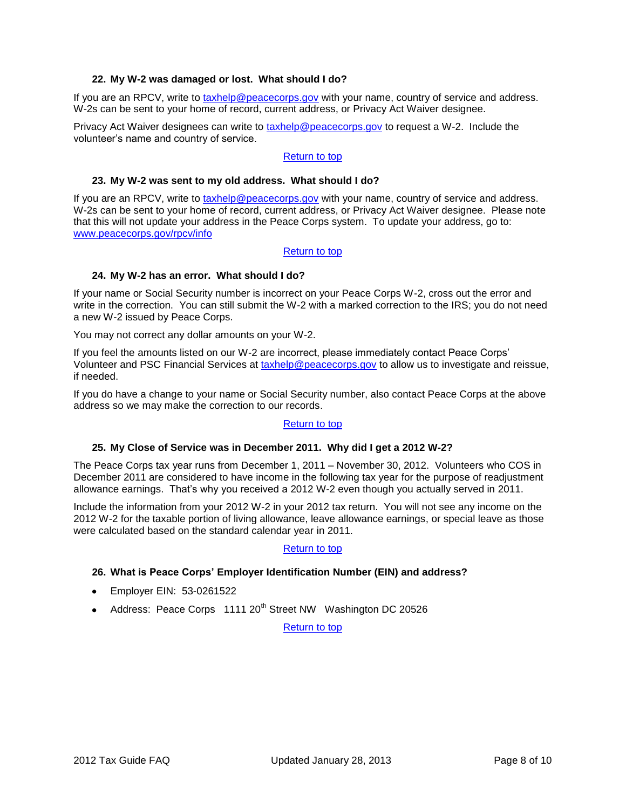# **22. My W-2 was damaged or lost. What should I do?**

<span id="page-7-0"></span>If you are an RPCV, write to [taxhelp@peacecorps.gov](mailto:taxhelp@peacecorps.gov) with your name, country of service and address. W-2s can be sent to your home of record, current address, or Privacy Act Waiver designee.

Privacy Act Waiver designees can write to [taxhelp@peacecorps.gov](mailto:taxhelp@peacecorps.gov) to request a W-2. Include the volunteer's name and country of service.

#### [Return to top](#page-0-0)

#### <span id="page-7-1"></span>**23. My W-2 was sent to my old address. What should I do?**

If you are an RPCV, write to [taxhelp@peacecorps.gov](mailto:taxhelp@peacecorps.gov) with your name, country of service and address. W-2s can be sent to your home of record, current address, or Privacy Act Waiver designee. Please note that this will not update your address in the Peace Corps system. To update your address, go to: [www.peacecorps.gov/rpcv/info](http://www.peacecorps.gov/rpcv/info)

## [Return to top](#page-0-0)

## <span id="page-7-2"></span>**24. My W-2 has an error. What should I do?**

If your name or Social Security number is incorrect on your Peace Corps W-2, cross out the error and write in the correction. You can still submit the W-2 with a marked correction to the IRS; you do not need a new W-2 issued by Peace Corps.

You may not correct any dollar amounts on your W-2.

If you feel the amounts listed on our W-2 are incorrect, please immediately contact Peace Corps' Volunteer and PSC Financial Services at [taxhelp@peacecorps.gov](mailto:taxhelp@peacecorps.gov) to allow us to investigate and reissue, if needed.

If you do have a change to your name or Social Security number, also contact Peace Corps at the above address so we may make the correction to our records.

## [Return to top](#page-0-0)

#### <span id="page-7-3"></span>**25. My Close of Service was in December 2011. Why did I get a 2012 W-2?**

The Peace Corps tax year runs from December 1, 2011 – November 30, 2012. Volunteers who COS in December 2011 are considered to have income in the following tax year for the purpose of readjustment allowance earnings. That's why you received a 2012 W-2 even though you actually served in 2011.

Include the information from your 2012 W-2 in your 2012 tax return. You will not see any income on the 2012 W-2 for the taxable portion of living allowance, leave allowance earnings, or special leave as those were calculated based on the standard calendar year in 2011.

## [Return to top](#page-0-0)

## <span id="page-7-4"></span>**26. What is Peace Corps' Employer Identification Number (EIN) and address?**

- Employer EIN: 53-0261522
- Address: Peace Corps  $1111 20<sup>th</sup>$  Street NW Washington DC 20526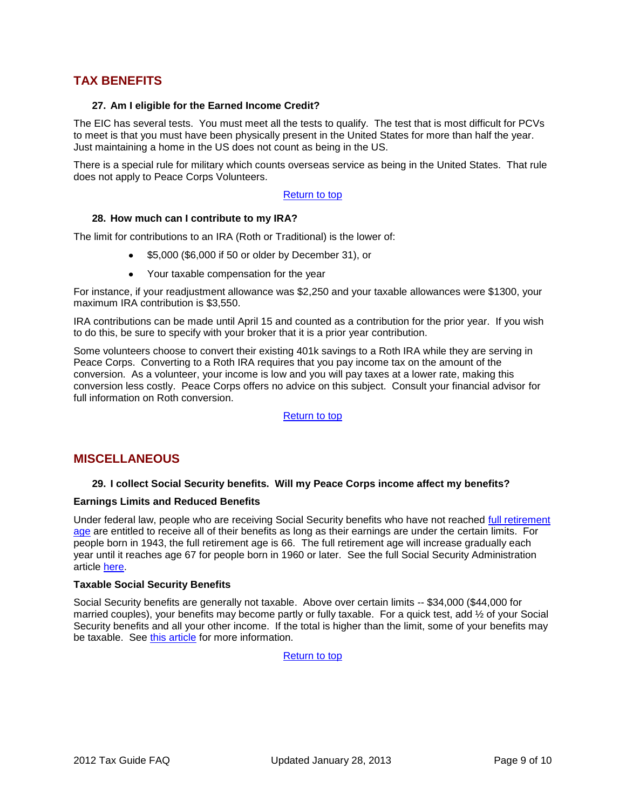# <span id="page-8-1"></span><span id="page-8-0"></span>**TAX BENEFITS**

#### **27. Am I eligible for the Earned Income Credit?**

The EIC has several tests. You must meet all the tests to qualify. The test that is most difficult for PCVs to meet is that you must have been physically present in the United States for more than half the year. Just maintaining a home in the US does not count as being in the US.

There is a special rule for military which counts overseas service as being in the United States. That rule does not apply to Peace Corps Volunteers.

#### [Return to top](#page-0-0)

#### <span id="page-8-2"></span>**28. How much can I contribute to my IRA?**

The limit for contributions to an IRA (Roth or Traditional) is the lower of:

- \$5,000 (\$6,000 if 50 or older by December 31), or
- Your taxable compensation for the year

For instance, if your readjustment allowance was \$2,250 and your taxable allowances were \$1300, your maximum IRA contribution is \$3,550.

IRA contributions can be made until April 15 and counted as a contribution for the prior year. If you wish to do this, be sure to specify with your broker that it is a prior year contribution.

Some volunteers choose to convert their existing 401k savings to a Roth IRA while they are serving in Peace Corps. Converting to a Roth IRA requires that you pay income tax on the amount of the conversion. As a volunteer, your income is low and you will pay taxes at a lower rate, making this conversion less costly. Peace Corps offers no advice on this subject. Consult your financial advisor for full information on Roth conversion.

[Return to top](#page-0-0)

# <span id="page-8-4"></span><span id="page-8-3"></span>**MISCELLANEOUS**

## **29. I collect Social Security benefits. Will my Peace Corps income affect my benefits?**

#### **Earnings Limits and Reduced Benefits**

Under federal law, people who are receiving Social Security benefits who have not reached [full retirement](http://www.ssa.gov/retire2/retirechart.htm)  [age](http://www.ssa.gov/retire2/retirechart.htm) are entitled to receive all of their benefits as long as their earnings are under the certain limits. For people born in 1943, the full retirement age is 66. The full retirement age will increase gradually each year until it reaches age 67 for people born in 1960 or later. See the full Social Security Administration article [here.](http://www.ssa.gov/pubs/10003.html)

#### **Taxable Social Security Benefits**

Social Security benefits are generally not taxable. Above over certain limits -- \$34,000 (\$44,000 for married couples), your benefits may become partly or fully taxable. For a quick test, add ½ of your Social Security benefits and all your other income. If the total is higher than the limit, some of your benefits may be taxable. See [this article](http://www.irs.gov/pub/irs-pdf/p915.pdf) for more information.